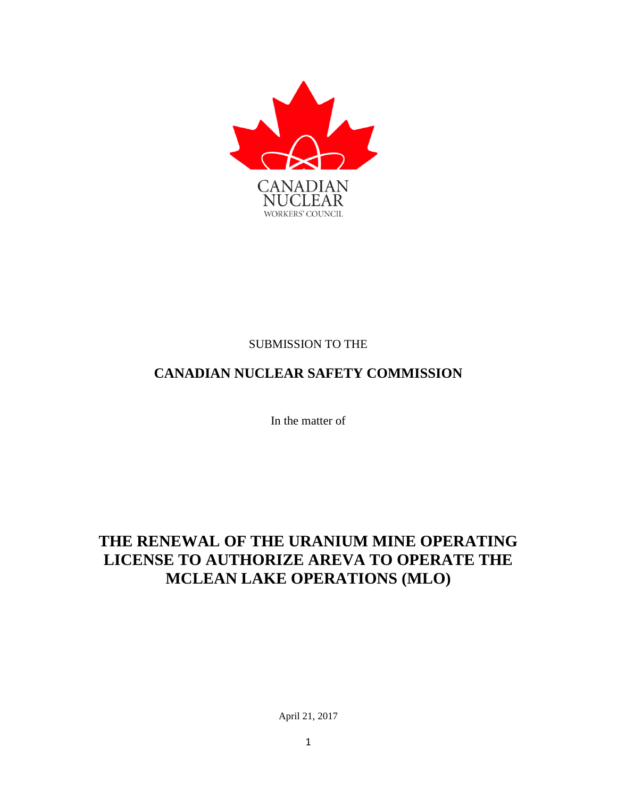

#### SUBMISSION TO THE

# **CANADIAN NUCLEAR SAFETY COMMISSION**

In the matter of

# **THE RENEWAL OF THE URANIUM MINE OPERATING LICENSE TO AUTHORIZE AREVA TO OPERATE THE MCLEAN LAKE OPERATIONS (MLO)**

April 21, 2017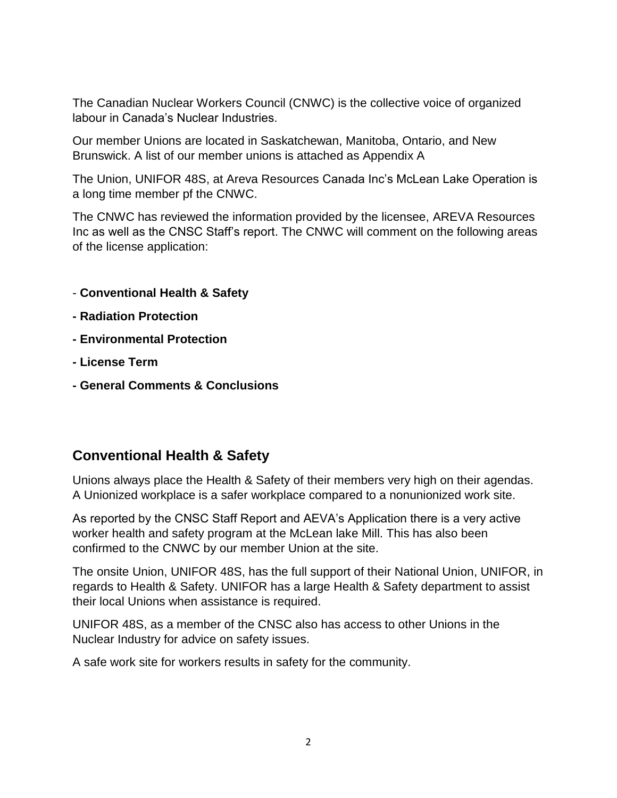The Canadian Nuclear Workers Council (CNWC) is the collective voice of organized labour in Canada's Nuclear Industries.

Our member Unions are located in Saskatchewan, Manitoba, Ontario, and New Brunswick. A list of our member unions is attached as Appendix A

The Union, UNIFOR 48S, at Areva Resources Canada Inc's McLean Lake Operation is a long time member pf the CNWC.

The CNWC has reviewed the information provided by the licensee, AREVA Resources Inc as well as the CNSC Staff's report. The CNWC will comment on the following areas of the license application:

- **Conventional Health & Safety**
- **- Radiation Protection**
- **- Environmental Protection**
- **- License Term**
- **- General Comments & Conclusions**

### **Conventional Health & Safety**

Unions always place the Health & Safety of their members very high on their agendas. A Unionized workplace is a safer workplace compared to a nonunionized work site.

As reported by the CNSC Staff Report and AEVA's Application there is a very active worker health and safety program at the McLean lake Mill. This has also been confirmed to the CNWC by our member Union at the site.

The onsite Union, UNIFOR 48S, has the full support of their National Union, UNIFOR, in regards to Health & Safety. UNIFOR has a large Health & Safety department to assist their local Unions when assistance is required.

UNIFOR 48S, as a member of the CNSC also has access to other Unions in the Nuclear Industry for advice on safety issues.

A safe work site for workers results in safety for the community.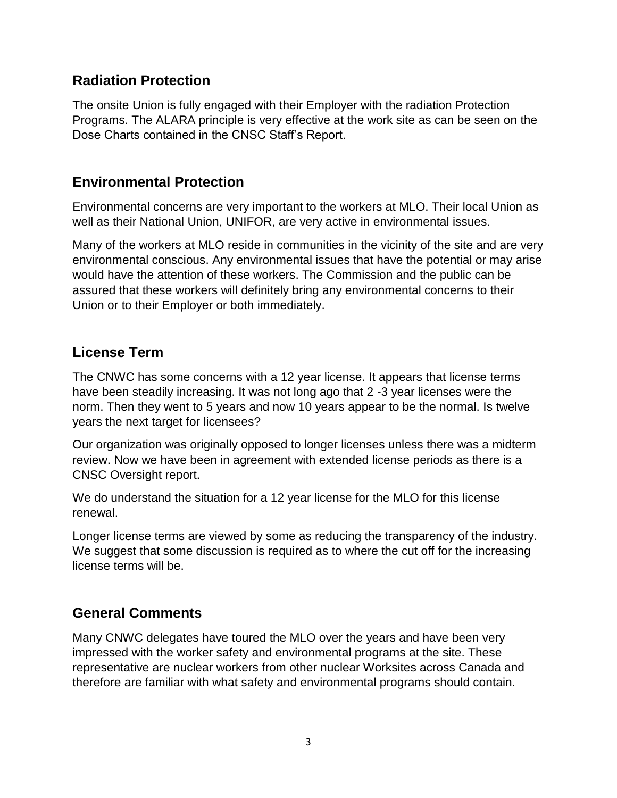#### **Radiation Protection**

The onsite Union is fully engaged with their Employer with the radiation Protection Programs. The ALARA principle is very effective at the work site as can be seen on the Dose Charts contained in the CNSC Staff's Report.

## **Environmental Protection**

Environmental concerns are very important to the workers at MLO. Their local Union as well as their National Union, UNIFOR, are very active in environmental issues.

Many of the workers at MLO reside in communities in the vicinity of the site and are very environmental conscious. Any environmental issues that have the potential or may arise would have the attention of these workers. The Commission and the public can be assured that these workers will definitely bring any environmental concerns to their Union or to their Employer or both immediately.

## **License Term**

The CNWC has some concerns with a 12 year license. It appears that license terms have been steadily increasing. It was not long ago that 2 -3 year licenses were the norm. Then they went to 5 years and now 10 years appear to be the normal. Is twelve years the next target for licensees?

Our organization was originally opposed to longer licenses unless there was a midterm review. Now we have been in agreement with extended license periods as there is a CNSC Oversight report.

We do understand the situation for a 12 year license for the MLO for this license renewal.

Longer license terms are viewed by some as reducing the transparency of the industry. We suggest that some discussion is required as to where the cut off for the increasing license terms will be.

# **General Comments**

Many CNWC delegates have toured the MLO over the years and have been very impressed with the worker safety and environmental programs at the site. These representative are nuclear workers from other nuclear Worksites across Canada and therefore are familiar with what safety and environmental programs should contain.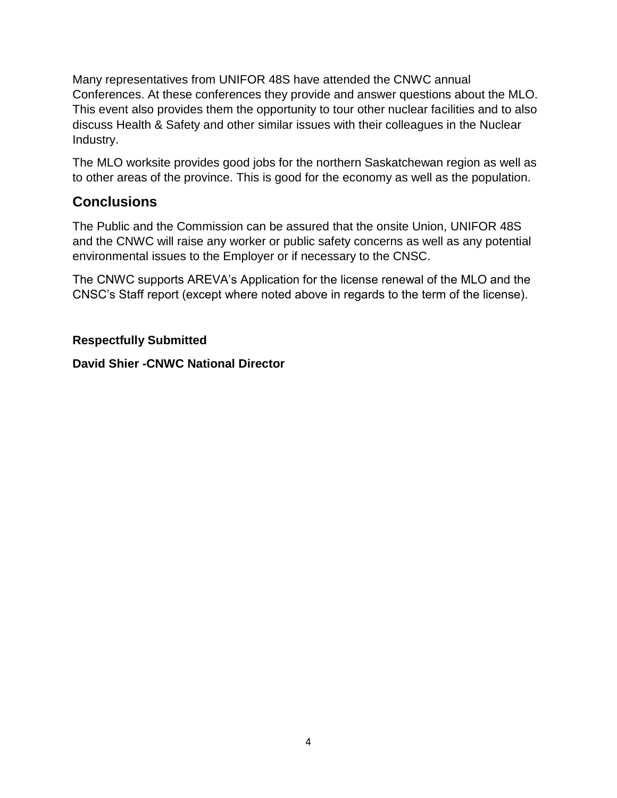Many representatives from UNIFOR 48S have attended the CNWC annual Conferences. At these conferences they provide and answer questions about the MLO. This event also provides them the opportunity to tour other nuclear facilities and to also discuss Health & Safety and other similar issues with their colleagues in the Nuclear Industry.

The MLO worksite provides good jobs for the northern Saskatchewan region as well as to other areas of the province. This is good for the economy as well as the population.

### **Conclusions**

The Public and the Commission can be assured that the onsite Union, UNIFOR 48S and the CNWC will raise any worker or public safety concerns as well as any potential environmental issues to the Employer or if necessary to the CNSC.

The CNWC supports AREVA's Application for the license renewal of the MLO and the CNSC's Staff report (except where noted above in regards to the term of the license).

#### **Respectfully Submitted**

**David Shier -CNWC National Director**